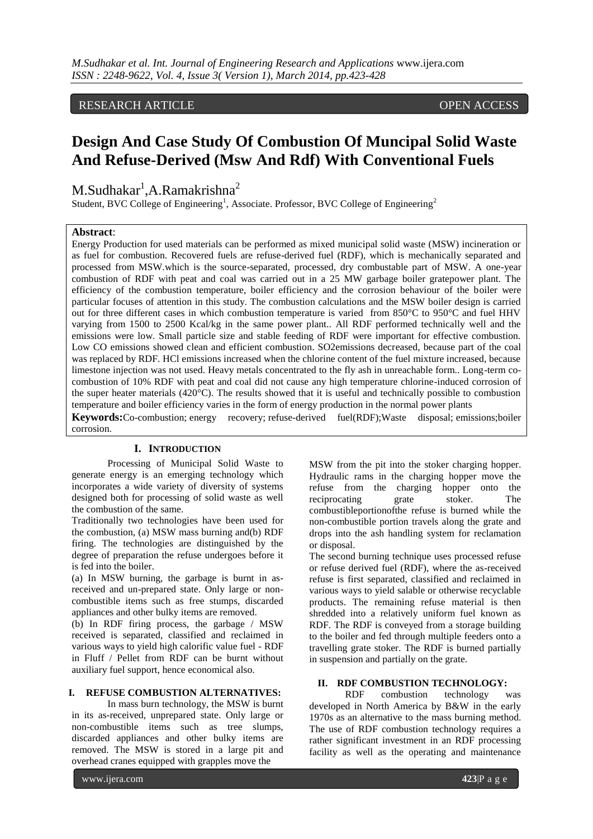RESEARCH ARTICLE OPEN ACCESS

# **Design And Case Study Of Combustion Of Muncipal Solid Waste And Refuse-Derived (Msw And Rdf) With Conventional Fuels**

 $M.S$ udhakar<sup>1</sup>,A.Ramakrishna<sup>2</sup>

Student, BVC College of Engineering<sup>1</sup>, Associate. Professor, BVC College of Engineering<sup>2</sup>

#### **Abstract**:

Energy Production for used materials can be performed as mixed municipal solid waste (MSW) incineration or as fuel for combustion. Recovered fuels are refuse-derived fuel (RDF), which is mechanically separated and processed from MSW.which is the source-separated, processed, dry combustable part of MSW. A one-year combustion of RDF with peat and coal was carried out in a 25 MW garbage boiler gratepower plant. The efficiency of the combustion temperature, boiler efficiency and the corrosion behaviour of the boiler were particular focuses of attention in this study. The combustion calculations and the MSW boiler design is carried out for three different cases in which combustion temperature is varied from 850°C to 950°C and fuel HHV varying from 1500 to 2500 Kcal/kg in the same power plant.. All RDF performed technically well and the emissions were low. Small particle size and stable feeding of RDF were important for effective combustion. Low CO emissions showed clean and efficient combustion. SO2emissions decreased, because part of the coal was replaced by RDF. HCl emissions increased when the chlorine content of the fuel mixture increased, because limestone injection was not used. Heavy metals concentrated to the fly ash in unreachable form.. Long-term cocombustion of 10% RDF with peat and coal did not cause any high temperature chlorine-induced corrosion of the super heater materials (420°C). The results showed that it is useful and technically possible to combustion temperature and boiler efficiency varies in the form of energy production in the normal power plants

**Keywords:**Co-combustion; energy recovery; refuse-derived fuel(RDF);Waste disposal; emissions;boiler corrosion.

## **I. INTRODUCTION**

Processing of Municipal Solid Waste to generate energy is an emerging technology which incorporates a wide variety of diversity of systems designed both for processing of solid waste as well the combustion of the same.

Traditionally two technologies have been used for the combustion, (a) MSW mass burning and(b) RDF firing. The technologies are distinguished by the degree of preparation the refuse undergoes before it is fed into the boiler.

(a) In MSW burning, the garbage is burnt in asreceived and un-prepared state. Only large or noncombustible items such as free stumps, discarded appliances and other bulky items are removed.

(b) In RDF firing process, the garbage / MSW received is separated, classified and reclaimed in various ways to yield high calorific value fuel - RDF in Fluff / Pellet from RDF can be burnt without auxiliary fuel support, hence economical also.

#### **I. REFUSE COMBUSTION ALTERNATIVES:**

In mass burn technology, the MSW is burnt in its as-received, unprepared state. Only large or non-combustible items such as tree slumps, discarded appliances and other bulky items are removed. The MSW is stored in a large pit and overhead cranes equipped with grapples move the

MSW from the pit into the stoker charging hopper. Hydraulic rams in the charging hopper move the refuse from the charging hopper onto the reciprocating grate stoker. The combustibleportionofthe refuse is burned while the non-combustible portion travels along the grate and drops into the ash handling system for reclamation or disposal.

The second burning technique uses processed refuse or refuse derived fuel (RDF), where the as-received refuse is first separated, classified and reclaimed in various ways to yield salable or otherwise recyclable products. The remaining refuse material is then shredded into a relatively uniform fuel known as RDF. The RDF is conveyed from a storage building to the boiler and fed through multiple feeders onto a travelling grate stoker. The RDF is burned partially in suspension and partially on the grate.

## **II. RDF COMBUSTION TECHNOLOGY:**

RDF combustion technology was developed in North America by B&W in the early 1970s as an alternative to the mass burning method. The use of RDF combustion technology requires a rather significant investment in an RDF processing facility as well as the operating and maintenance

www.ijera.com **423**|P a g e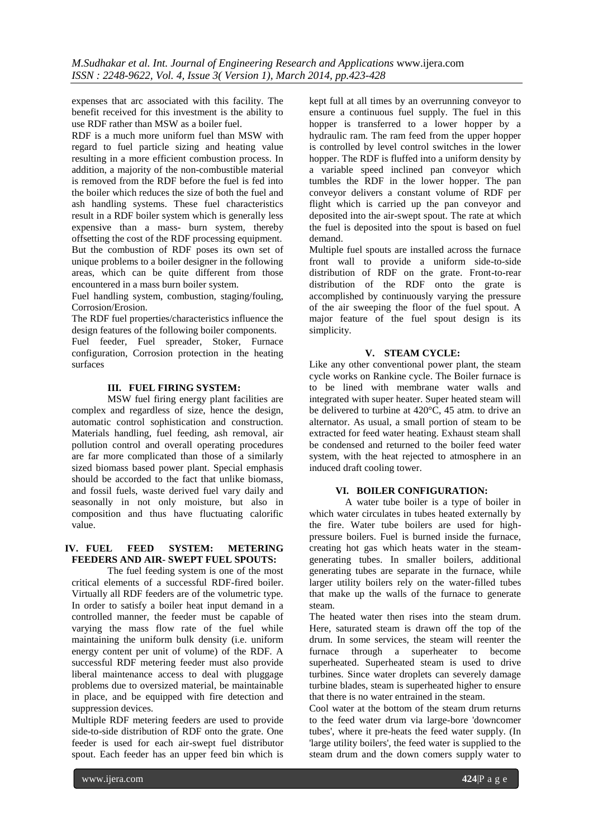expenses that arc associated with this facility. The benefit received for this investment is the ability to use RDF rather than MSW as a boiler fuel.

RDF is a much more uniform fuel than MSW with regard to fuel particle sizing and heating value resulting in a more efficient combustion process. In addition, a majority of the non-combustible material is removed from the RDF before the fuel is fed into the boiler which reduces the size of both the fuel and ash handling systems. These fuel characteristics result in a RDF boiler system which is generally less expensive than a mass- burn system, thereby offsetting the cost of the RDF processing equipment. But the combustion of RDF poses its own set of unique problems to a boiler designer in the following areas, which can be quite different from those encountered in a mass burn boiler system.

Fuel handling system, combustion, staging/fouling, Corrosion/Erosion.

The RDF fuel properties/characteristics influence the design features of the following boiler components.

Fuel feeder, Fuel spreader, Stoker, Furnace configuration, Corrosion protection in the heating surfaces

## **III. FUEL FIRING SYSTEM:**

MSW fuel firing energy plant facilities are complex and regardless of size, hence the design, automatic control sophistication and construction. Materials handling, fuel feeding, ash removal, air pollution control and overall operating procedures are far more complicated than those of a similarly sized biomass based power plant. Special emphasis should be accorded to the fact that unlike biomass, and fossil fuels, waste derived fuel vary daily and seasonally in not only moisture, but also in composition and thus have fluctuating calorific value.

# **IV. FUEL FEED SYSTEM: METERING FEEDERS AND AIR- SWEPT FUEL SPOUTS:**

The fuel feeding system is one of the most critical elements of a successful RDF-fired boiler. Virtually all RDF feeders are of the volumetric type. In order to satisfy a boiler heat input demand in a controlled manner, the feeder must be capable of varying the mass flow rate of the fuel while maintaining the uniform bulk density (i.e. uniform energy content per unit of volume) of the RDF. A successful RDF metering feeder must also provide liberal maintenance access to deal with pluggage problems due to oversized material, be maintainable in place, and be equipped with fire detection and suppression devices.

Multiple RDF metering feeders are used to provide side-to-side distribution of RDF onto the grate. One feeder is used for each air-swept fuel distributor spout. Each feeder has an upper feed bin which is

kept full at all times by an overrunning conveyor to ensure a continuous fuel supply. The fuel in this hopper is transferred to a lower hopper by a hydraulic ram. The ram feed from the upper hopper is controlled by level control switches in the lower hopper. The RDF is fluffed into a uniform density by a variable speed inclined pan conveyor which tumbles the RDF in the lower hopper. The pan conveyor delivers a constant volume of RDF per flight which is carried up the pan conveyor and deposited into the air-swept spout. The rate at which the fuel is deposited into the spout is based on fuel demand.

Multiple fuel spouts are installed across the furnace front wall to provide a uniform side-to-side distribution of RDF on the grate. Front-to-rear distribution of the RDF onto the grate is accomplished by continuously varying the pressure of the air sweeping the floor of the fuel spout. A major feature of the fuel spout design is its simplicity.

## **V. STEAM CYCLE:**

Like any other conventional power plant, the steam cycle works on Rankine cycle. The Boiler furnace is to be lined with membrane water walls and integrated with super heater. Super heated steam will be delivered to turbine at 420°C, 45 atm. to drive an alternator. As usual, a small portion of steam to be extracted for feed water heating. Exhaust steam shall be condensed and returned to the boiler feed water system, with the heat rejected to atmosphere in an induced draft cooling tower.

## **VI. BOILER CONFIGURATION:**

A water tube boiler is a type of boiler in which water circulates in tubes heated externally by the fire. Water tube boilers are used for highpressure boilers. Fuel is burned inside the furnace, creating hot gas which heats water in the steamgenerating tubes. In smaller boilers, additional generating tubes are separate in the furnace, while larger utility boilers rely on the water-filled tubes that make up the walls of the furnace to generate steam.

The heated water then rises into the steam drum. Here, saturated steam is drawn off the top of the drum. In some services, the steam will reenter the furnace through a superheater to become superheated. Superheated steam is used to drive turbines. Since water droplets can severely damage turbine blades, steam is superheated higher to ensure that there is no water entrained in the steam.

Cool water at the bottom of the steam drum returns to the feed water drum via large-bore 'downcomer tubes', where it pre-heats the feed water supply. (In 'large utility boilers', the feed water is supplied to the steam drum and the down comers supply water to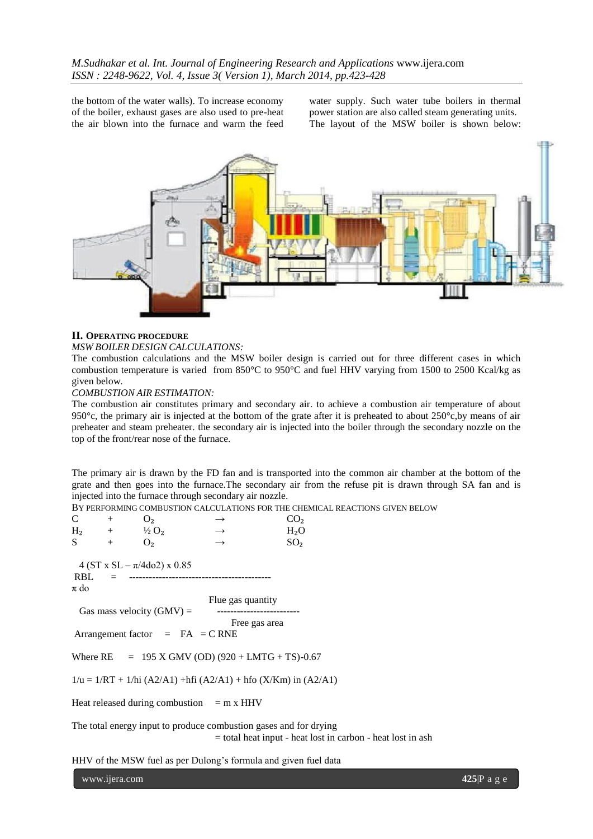the bottom of the water walls). To increase economy of the boiler, exhaust gases are also used to pre-heat the air blown into the furnace and warm the feed

water supply. Such water tube boilers in thermal power station are also called steam generating units. The layout of the MSW boiler is shown below:



#### **II. OPERATING PROCEDURE**

#### *MSW BOILER DESIGN CALCULATIONS:*

The combustion calculations and the MSW boiler design is carried out for three different cases in which combustion temperature is varied from 850°C to 950°C and fuel HHV varying from 1500 to 2500 Kcal/kg as given below.

#### *COMBUSTION AIR ESTIMATION:*

The combustion air constitutes primary and secondary air. to achieve a combustion air temperature of about 950°c, the primary air is injected at the bottom of the grate after it is preheated to about  $250^{\circ}$ c, by means of air preheater and steam preheater. the secondary air is injected into the boiler through the secondary nozzle on the top of the front/rear nose of the furnace.

The primary air is drawn by the FD fan and is transported into the common air chamber at the bottom of the grate and then goes into the furnace.The secondary air from the refuse pit is drawn through SA fan and is injected into the furnace through secondary air nozzle.

BY PERFORMING COMBUSTION CALCULATIONS FOR THE CHEMICAL REACTIONS GIVEN BELOW

 $C + O_2 \rightarrow CO_2$  $H_2$  +  $\frac{1}{2}O_2$   $\rightarrow$   $H_2O$  $S + O_2 \rightarrow SO_2$ 4 (ST x SL –  $\pi$ /4do2) x 0.85 RBL = ------------------------------------------ π do Flue gas quantity Gas mass velocity (GMV) = ------------------------- Free gas area Arrangement factor  $=$  FA  $=$  C RNE Where  $RE = 195$  X GMV (OD) (920 + LMTG + TS)-0.67  $1/u = 1/RT + 1/hi (A2/A1) + hfi (A2/A1) + hfo (X/Km) in (A2/A1)$ Heat released during combustion  $=$  m x HHV The total energy input to produce combustion gases and for drying

= total heat input - heat lost in carbon - heat lost in ash

HHV of the MSW fuel as per Dulong's formula and given fuel data

www.ijera.com **425**<sup>p</sup> a g e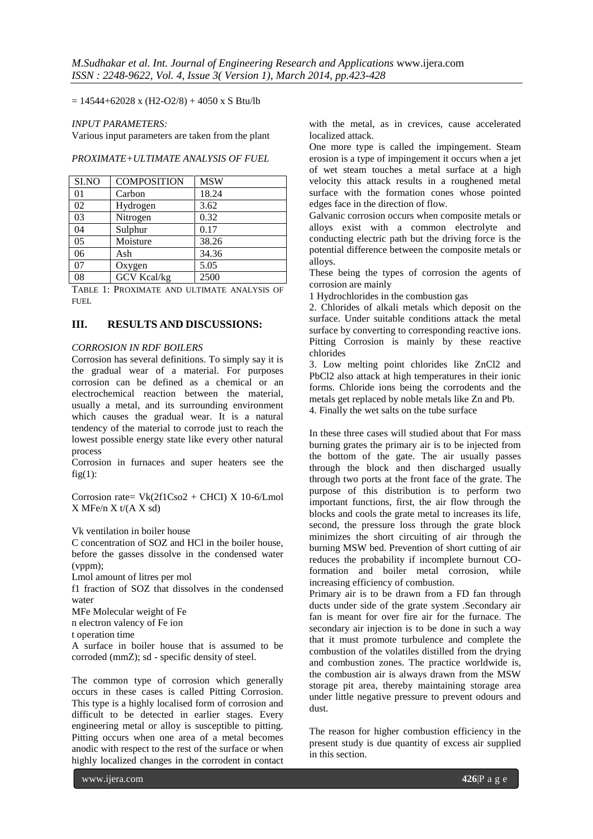$= 14544+62028$  x (H2-O2/8) + 4050 x S Btu/lb

#### *INPUT PARAMETERS:*

Various input parameters are taken from the plant

#### *PROXIMATE+ULTIMATE ANALYSIS OF FUEL*

| SI.NO | <b>COMPOSITION</b> | <b>MSW</b> |
|-------|--------------------|------------|
| 01    | Carbon             | 18.24      |
| 02    | Hydrogen           | 3.62       |
| 03    | Nitrogen           | 0.32       |
| 04    | Sulphur            | 0.17       |
| 05    | Moisture           | 38.26      |
| 06    | Ash                | 34.36      |
| 07    | Oxygen             | 5.05       |
| 08    | <b>GCV Kcal/kg</b> | 2500       |

TABLE 1: PROXIMATE AND ULTIMATE ANALYSIS OF FUEL

## **III. RESULTS AND DISCUSSIONS:**

#### *CORROSION IN RDF BOILERS*

Corrosion has several definitions. To simply say it is the gradual wear of a material. For purposes corrosion can be defined as a chemical or an electrochemical reaction between the material, usually a metal, and its surrounding environment which causes the gradual wear. It is a natural tendency of the material to corrode just to reach the lowest possible energy state like every other natural process

Corrosion in furnaces and super heaters see the  $fig(1)$ :

Corrosion rate=  $Vk(2f1Cso2 + CHCI)$  X 10-6/Lmol  $X$  MFe/n  $X$  t/(A  $X$  sd)

Vk ventilation in boiler house

C concentration of SOZ and HCl in the boiler house, before the gasses dissolve in the condensed water (vppm);

Lmol amount of litres per mol

f1 fraction of SOZ that dissolves in the condensed water

MFe Molecular weight of Fe

n electron valency of Fe ion

t operation time

A surface in boiler house that is assumed to be corroded (mmZ); sd - specific density of steel.

The common type of corrosion which generally occurs in these cases is called Pitting Corrosion. This type is a highly localised form of corrosion and difficult to be detected in earlier stages. Every engineering metal or alloy is susceptible to pitting. Pitting occurs when one area of a metal becomes anodic with respect to the rest of the surface or when highly localized changes in the corrodent in contact

with the metal, as in crevices, cause accelerated localized attack.

One more type is called the impingement. Steam erosion is a type of impingement it occurs when a jet of wet steam touches a metal surface at a high velocity this attack results in a roughened metal surface with the formation cones whose pointed edges face in the direction of flow.

Galvanic corrosion occurs when composite metals or alloys exist with a common electrolyte and conducting electric path but the driving force is the potential difference between the composite metals or alloys.

These being the types of corrosion the agents of corrosion are mainly

1 Hydrochlorides in the combustion gas

2. Chlorides of alkali metals which deposit on the surface. Under suitable conditions attack the metal surface by converting to corresponding reactive ions. Pitting Corrosion is mainly by these reactive chlorides

3. Low melting point chlorides like ZnCl2 and PbCl2 also attack at high temperatures in their ionic forms. Chloride ions being the corrodents and the metals get replaced by noble metals like Zn and Pb. 4. Finally the wet salts on the tube surface

In these three cases will studied about that For mass burning grates the primary air is to be injected from the bottom of the gate. The air usually passes through the block and then discharged usually through two ports at the front face of the grate. The purpose of this distribution is to perform two important functions, first, the air flow through the blocks and cools the grate metal to increases its life, second, the pressure loss through the grate block minimizes the short circuiting of air through the burning MSW bed. Prevention of short cutting of air reduces the probability if incomplete burnout COformation and boiler metal corrosion, while increasing efficiency of combustion.

Primary air is to be drawn from a FD fan through ducts under side of the grate system .Secondary air fan is meant for over fire air for the furnace. The secondary air injection is to be done in such a way that it must promote turbulence and complete the combustion of the volatiles distilled from the drying and combustion zones. The practice worldwide is, the combustion air is always drawn from the MSW storage pit area, thereby maintaining storage area under little negative pressure to prevent odours and dust.

The reason for higher combustion efficiency in the present study is due quantity of excess air supplied in this section.

www.ijera.com **426**|P a g e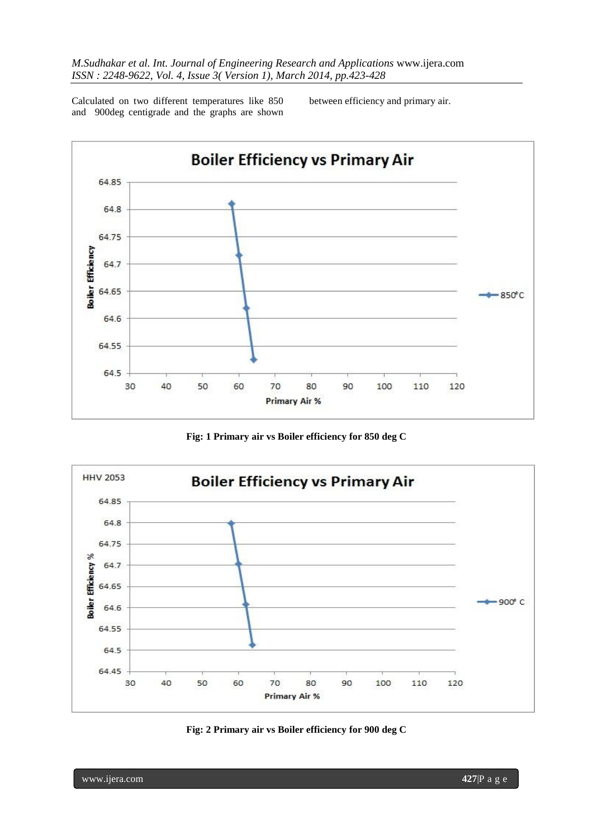Calculated on two different temperatures like 850 and 900deg centigrade and the graphs are shown between efficiency and primary air.



**Fig: 1 Primary air vs Boiler efficiency for 850 deg C**



![](_page_4_Figure_6.jpeg)